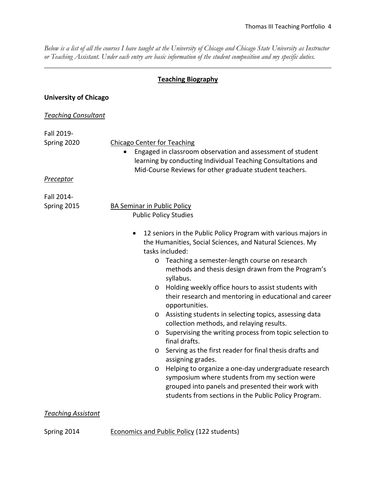*Below is a list of all the courses I have taught at the University of Chicago and Chicago State University as Instructor or Teaching Assistant. Under each entry are basic information of the student composition and my specific duties.* 

\_\_\_\_\_\_\_\_\_\_\_\_\_\_\_\_\_\_\_\_\_\_\_\_\_\_\_\_\_\_\_\_\_\_\_\_\_\_\_\_\_\_\_\_\_\_\_\_\_\_\_\_\_\_\_\_\_\_\_\_\_\_\_\_\_\_\_\_\_\_\_\_\_\_\_\_\_\_

## **Teaching Biography**

## **University of Chicago**

## *Teaching Consultant*

| Fall 2019-       |                                                                                                                                                                                                    |
|------------------|----------------------------------------------------------------------------------------------------------------------------------------------------------------------------------------------------|
| Spring 2020      | <b>Chicago Center for Teaching</b>                                                                                                                                                                 |
|                  | Engaged in classroom observation and assessment of student<br>$\bullet$<br>learning by conducting Individual Teaching Consultations and<br>Mid-Course Reviews for other graduate student teachers. |
| <u>Preceptor</u> |                                                                                                                                                                                                    |
| Fall 2014-       |                                                                                                                                                                                                    |
| Spring 2015      | <b>BA Seminar in Public Policy</b>                                                                                                                                                                 |
|                  | <b>Public Policy Studies</b>                                                                                                                                                                       |
|                  | 12 seniors in the Public Policy Program with various majors in<br>$\bullet$<br>the Humanities, Social Sciences, and Natural Sciences. My                                                           |
|                  | tasks included:                                                                                                                                                                                    |
|                  | Teaching a semester-length course on research<br>$\circ$                                                                                                                                           |
|                  | methods and thesis design drawn from the Program's<br>syllabus.                                                                                                                                    |
|                  | Holding weekly office hours to assist students with<br>$\circ$                                                                                                                                     |
|                  | their research and mentoring in educational and career<br>opportunities.                                                                                                                           |
|                  | Assisting students in selecting topics, assessing data<br>$\circ$                                                                                                                                  |
|                  | collection methods, and relaying results.                                                                                                                                                          |
|                  | Supervising the writing process from topic selection to<br>$\circ$<br>final drafts.                                                                                                                |
|                  | Serving as the first reader for final thesis drafts and<br>$\circ$                                                                                                                                 |
|                  | assigning grades.                                                                                                                                                                                  |
|                  | Helping to organize a one-day undergraduate research<br>$\circ$<br>symposium where students from my section were                                                                                   |
|                  | grouped into panels and presented their work with<br>students from sections in the Public Policy Program.                                                                                          |

## *Teaching Assistant*

Spring 2014 Economics and Public Policy (122 students)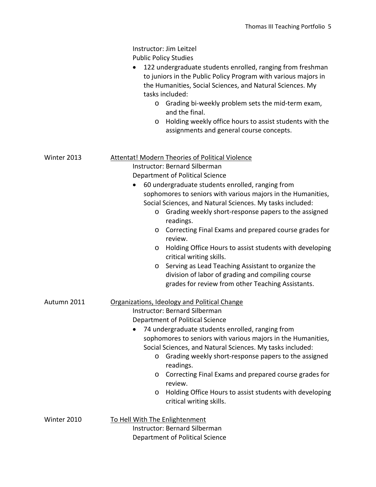|             | Instructor: Jim Leitzel                                                                                                                                                                                                   |
|-------------|---------------------------------------------------------------------------------------------------------------------------------------------------------------------------------------------------------------------------|
|             | <b>Public Policy Studies</b>                                                                                                                                                                                              |
|             | 122 undergraduate students enrolled, ranging from freshman<br>$\bullet$<br>to juniors in the Public Policy Program with various majors in<br>the Humanities, Social Sciences, and Natural Sciences. My<br>tasks included: |
|             | Grading bi-weekly problem sets the mid-term exam,<br>$\circ$<br>and the final.                                                                                                                                            |
|             | Holding weekly office hours to assist students with the<br>O<br>assignments and general course concepts.                                                                                                                  |
| Winter 2013 | <b>Attentat! Modern Theories of Political Violence</b>                                                                                                                                                                    |
|             | <b>Instructor: Bernard Silberman</b>                                                                                                                                                                                      |
|             | Department of Political Science                                                                                                                                                                                           |
|             | 60 undergraduate students enrolled, ranging from<br>$\bullet$                                                                                                                                                             |
|             | sophomores to seniors with various majors in the Humanities,                                                                                                                                                              |
|             | Social Sciences, and Natural Sciences. My tasks included:                                                                                                                                                                 |
|             | Grading weekly short-response papers to the assigned<br>$\circ$<br>readings.                                                                                                                                              |
|             | Correcting Final Exams and prepared course grades for<br>$\circ$<br>review.                                                                                                                                               |
|             | Holding Office Hours to assist students with developing<br>O<br>critical writing skills.                                                                                                                                  |
|             | Serving as Lead Teaching Assistant to organize the<br>$\circ$                                                                                                                                                             |
|             | division of labor of grading and compiling course                                                                                                                                                                         |
|             | grades for review from other Teaching Assistants.                                                                                                                                                                         |
| Autumn 2011 | Organizations, Ideology and Political Change                                                                                                                                                                              |
|             | <b>Instructor: Bernard Silberman</b>                                                                                                                                                                                      |
|             | <b>Department of Political Science</b>                                                                                                                                                                                    |
|             | 74 undergraduate students enrolled, ranging from                                                                                                                                                                          |
|             | sophomores to seniors with various majors in the Humanities,                                                                                                                                                              |
|             | Social Sciences, and Natural Sciences. My tasks included:                                                                                                                                                                 |
|             | Grading weekly short-response papers to the assigned<br>$\circ$                                                                                                                                                           |
|             | readings.                                                                                                                                                                                                                 |
|             | Correcting Final Exams and prepared course grades for<br>$\circ$<br>review.                                                                                                                                               |
|             | Holding Office Hours to assist students with developing<br>O                                                                                                                                                              |
|             | critical writing skills.                                                                                                                                                                                                  |
| Winter 2010 | To Hell With The Enlightenment                                                                                                                                                                                            |
|             | <b>Instructor: Bernard Silberman</b>                                                                                                                                                                                      |
|             | <b>Department of Political Science</b>                                                                                                                                                                                    |